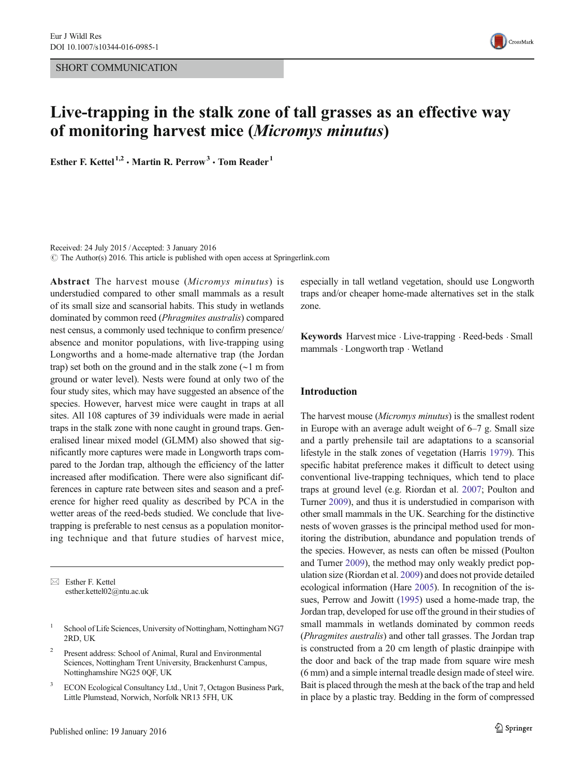

# Live-trapping in the stalk zone of tall grasses as an effective way of monitoring harvest mice (Micromys minutus)

Esther F. Kettel<sup>1,2</sup>  $\cdot$  Martin R. Perrow<sup>3</sup>  $\cdot$  Tom Reader<sup>1</sup>

Received: 24 July 2015 /Accepted: 3 January 2016  $\odot$  The Author(s) 2016. This article is published with open access at Springerlink.com

Abstract The harvest mouse (Micromys minutus) is understudied compared to other small mammals as a result of its small size and scansorial habits. This study in wetlands dominated by common reed (Phragmites australis) compared nest census, a commonly used technique to confirm presence/ absence and monitor populations, with live-trapping using Longworths and a home-made alternative trap (the Jordan trap) set both on the ground and in the stalk zone (∼1 m from ground or water level). Nests were found at only two of the four study sites, which may have suggested an absence of the species. However, harvest mice were caught in traps at all sites. All 108 captures of 39 individuals were made in aerial traps in the stalk zone with none caught in ground traps. Generalised linear mixed model (GLMM) also showed that significantly more captures were made in Longworth traps compared to the Jordan trap, although the efficiency of the latter increased after modification. There were also significant differences in capture rate between sites and season and a preference for higher reed quality as described by PCA in the wetter areas of the reed-beds studied. We conclude that livetrapping is preferable to nest census as a population monitoring technique and that future studies of harvest mice,

 $\boxtimes$  Esther F. Kettel esther.kettel02@ntu.ac.uk

- <sup>2</sup> Present address: School of Animal, Rural and Environmental Sciences, Nottingham Trent University, Brackenhurst Campus, Nottinghamshire NG25 0QF, UK
- <sup>3</sup> ECON Ecological Consultancy Ltd., Unit 7, Octagon Business Park, Little Plumstead, Norwich, Norfolk NR13 5FH, UK

especially in tall wetland vegetation, should use Longworth traps and/or cheaper home-made alternatives set in the stalk zone.

Keywords Harvest mice . Live-trapping . Reed-beds . Small mammals . Longworth trap . Wetland

## Introduction

The harvest mouse (Micromys minutus) is the smallest rodent in Europe with an average adult weight of 6–7 g. Small size and a partly prehensile tail are adaptations to a scansorial lifestyle in the stalk zones of vegetation (Harris 1979). This specific habitat preference makes it difficult to detect using conventional live-trapping techniques, which tend to place traps at ground level (e.g. Riordan et al. 2007; Poulton and Turner 2009), and thus it is understudied in comparison with other small mammals in the UK. Searching for the distinctive nests of woven grasses is the principal method used for monitoring the distribution, abundance and population trends of the species. However, as nests can often be missed (Poulton and Turner 2009), the method may only weakly predict population size (Riordan et al. 2009) and does not provide detailed ecological information (Hare 2005). In recognition of the issues, Perrow and Jowitt (1995) used a home-made trap, the Jordan trap, developed for use off the ground in their studies of small mammals in wetlands dominated by common reeds (Phragmites australis) and other tall grasses. The Jordan trap is constructed from a 20 cm length of plastic drainpipe with the door and back of the trap made from square wire mesh (6 mm) and a simple internal treadle design made of steel wire. Bait is placed through the mesh at the back of the trap and held in place by a plastic tray. Bedding in the form of compressed

<sup>&</sup>lt;sup>1</sup> School of Life Sciences, University of Nottingham, Nottingham NG7 2RD, UK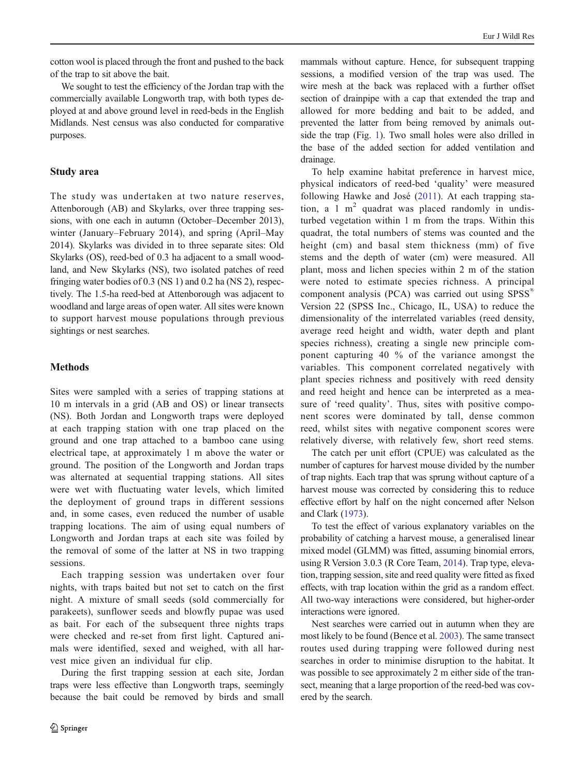cotton wool is placed through the front and pushed to the back of the trap to sit above the bait.

We sought to test the efficiency of the Jordan trap with the commercially available Longworth trap, with both types deployed at and above ground level in reed-beds in the English Midlands. Nest census was also conducted for comparative purposes.

## Study area

The study was undertaken at two nature reserves, Attenborough (AB) and Skylarks, over three trapping sessions, with one each in autumn (October–December 2013), winter (January–February 2014), and spring (April–May 2014). Skylarks was divided in to three separate sites: Old Skylarks (OS), reed-bed of 0.3 ha adjacent to a small woodland, and New Skylarks (NS), two isolated patches of reed fringing water bodies of 0.3 (NS 1) and 0.2 ha (NS 2), respectively. The 1.5-ha reed-bed at Attenborough was adjacent to woodland and large areas of open water. All sites were known to support harvest mouse populations through previous sightings or nest searches.

## Methods

Sites were sampled with a series of trapping stations at 10 m intervals in a grid (AB and OS) or linear transects (NS). Both Jordan and Longworth traps were deployed at each trapping station with one trap placed on the ground and one trap attached to a bamboo cane using electrical tape, at approximately 1 m above the water or ground. The position of the Longworth and Jordan traps was alternated at sequential trapping stations. All sites were wet with fluctuating water levels, which limited the deployment of ground traps in different sessions and, in some cases, even reduced the number of usable trapping locations. The aim of using equal numbers of Longworth and Jordan traps at each site was foiled by the removal of some of the latter at NS in two trapping sessions.

Each trapping session was undertaken over four nights, with traps baited but not set to catch on the first night. A mixture of small seeds (sold commercially for parakeets), sunflower seeds and blowfly pupae was used as bait. For each of the subsequent three nights traps were checked and re-set from first light. Captured animals were identified, sexed and weighed, with all harvest mice given an individual fur clip.

During the first trapping session at each site, Jordan traps were less effective than Longworth traps, seemingly because the bait could be removed by birds and small mammals without capture. Hence, for subsequent trapping sessions, a modified version of the trap was used. The wire mesh at the back was replaced with a further offset section of drainpipe with a cap that extended the trap and allowed for more bedding and bait to be added, and prevented the latter from being removed by animals outside the trap (Fig. 1). Two small holes were also drilled in the base of the added section for added ventilation and drainage.

To help examine habitat preference in harvest mice, physical indicators of reed-bed 'quality' were measured following Hawke and José (2011). At each trapping station, a 1  $m<sup>2</sup>$  quadrat was placed randomly in undisturbed vegetation within 1 m from the traps. Within this quadrat, the total numbers of stems was counted and the height (cm) and basal stem thickness (mm) of five stems and the depth of water (cm) were measured. All plant, moss and lichen species within 2 m of the station were noted to estimate species richness. A principal component analysis (PCA) was carried out using SPSS<sup>®</sup> Version 22 (SPSS Inc., Chicago, IL, USA) to reduce the dimensionality of the interrelated variables (reed density, average reed height and width, water depth and plant species richness), creating a single new principle component capturing 40 % of the variance amongst the variables. This component correlated negatively with plant species richness and positively with reed density and reed height and hence can be interpreted as a measure of 'reed quality'. Thus, sites with positive component scores were dominated by tall, dense common reed, whilst sites with negative component scores were relatively diverse, with relatively few, short reed stems.

The catch per unit effort (CPUE) was calculated as the number of captures for harvest mouse divided by the number of trap nights. Each trap that was sprung without capture of a harvest mouse was corrected by considering this to reduce effective effort by half on the night concerned after Nelson and Clark (1973).

To test the effect of various explanatory variables on the probability of catching a harvest mouse, a generalised linear mixed model (GLMM) was fitted, assuming binomial errors, using R Version 3.0.3 (R Core Team, 2014). Trap type, elevation, trapping session, site and reed quality were fitted as fixed effects, with trap location within the grid as a random effect. All two-way interactions were considered, but higher-order interactions were ignored.

Nest searches were carried out in autumn when they are most likely to be found (Bence et al. 2003). The same transect routes used during trapping were followed during nest searches in order to minimise disruption to the habitat. It was possible to see approximately 2 m either side of the transect, meaning that a large proportion of the reed-bed was covered by the search.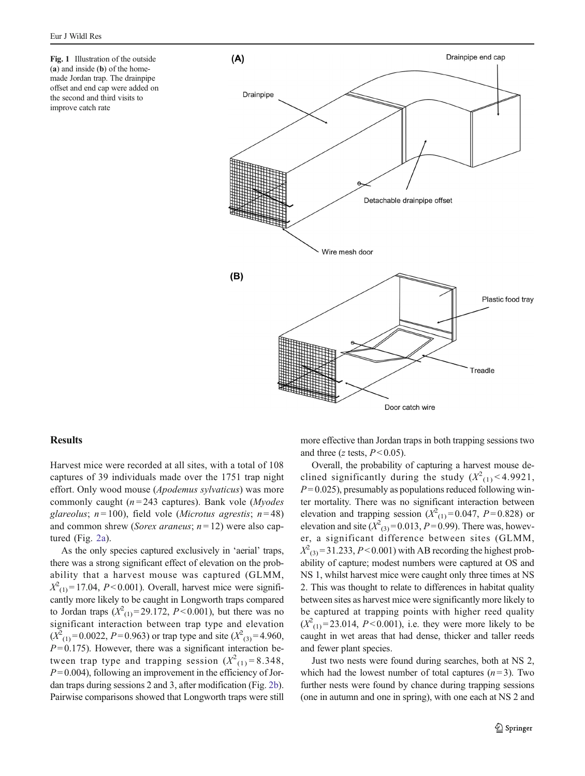Fig. 1 Illustration of the outside (a) and inside (b) of the homemade Jordan trap. The drainpipe offset and end cap were added on the second and third visits to improve catch rate



## **Results**

Harvest mice were recorded at all sites, with a total of 108 captures of 39 individuals made over the 1751 trap night effort. Only wood mouse (Apodemus sylvaticus) was more commonly caught ( $n = 243$  captures). Bank vole (*Myodes* glareolus;  $n = 100$ ), field vole (Microtus agrestis;  $n = 48$ ) and common shrew (*Sorex araneus*;  $n = 12$ ) were also captured (Fig. 2a).

As the only species captured exclusively in 'aerial' traps, there was a strong significant effect of elevation on the probability that a harvest mouse was captured (GLMM,  $X^{2}(1) = 17.04$ ,  $P < 0.001$ ). Overall, harvest mice were significantly more likely to be caught in Longworth traps compared to Jordan traps  $(X_{(1)}^2=29.172, P<0.001)$ , but there was no significant interaction between trap type and elevation  $(X^2_{(1)}=0.0022, P=0.963)$  or trap type and site  $(X^2_{(3)}=4.960, P=0.962)$  $P= 0.175$ ). However, there was a significant interaction between trap type and trapping session  $(X^2_{(1)} = 8.348,$  $P= 0.004$ ), following an improvement in the efficiency of Jordan traps during sessions 2 and 3, after modification (Fig. 2b). Pairwise comparisons showed that Longworth traps were still more effective than Jordan traps in both trapping sessions two and three ( $z$  tests,  $P < 0.05$ ).

Overall, the probability of capturing a harvest mouse declined significantly during the study  $(X^2_{(1)} < 4.9921)$ ,  $P= 0.025$ ), presumably as populations reduced following winter mortality. There was no significant interaction between elevation and trapping session  $(X^2_{(1)}=0.047, P=0.828)$  or elevation and site  $(X^2_{(3)}=0.013, P=0.99)$ . There was, however, a significant difference between sites (GLMM,  $X^2_{(3)}$  = 31.233, P < 0.001) with AB recording the highest probability of capture; modest numbers were captured at OS and NS 1, whilst harvest mice were caught only three times at NS 2. This was thought to relate to differences in habitat quality between sites as harvest mice were significantly more likely to be captured at trapping points with higher reed quality  $(X_{(1)}^2 = 23.014, P < 0.001)$ , i.e. they were more likely to be caught in wet areas that had dense, thicker and taller reeds and fewer plant species.

Just two nests were found during searches, both at NS 2, which had the lowest number of total captures  $(n=3)$ . Two further nests were found by chance during trapping sessions (one in autumn and one in spring), with one each at NS 2 and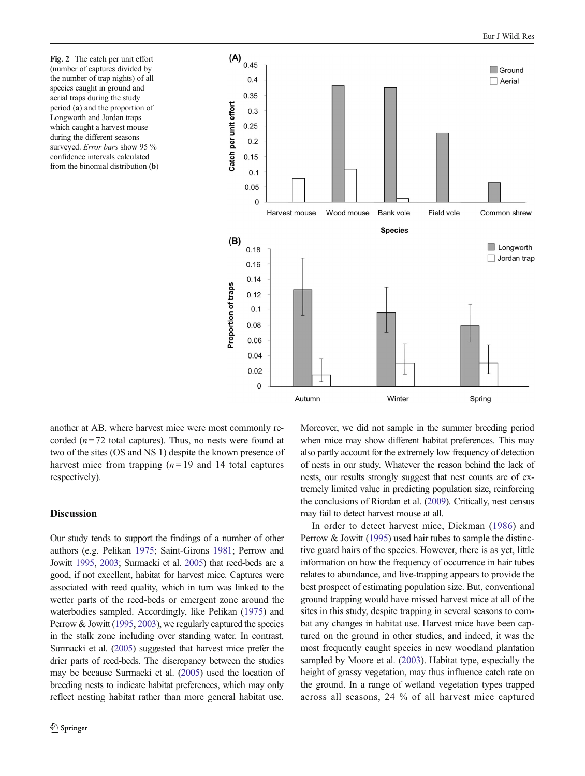Fig. 2 The catch per unit effort (number of captures divided by the number of trap nights) of all species caught in ground and aerial traps during the study period (a) and the proportion of Longworth and Jordan traps which caught a harvest mouse during the different seasons surveyed. Error bars show 95 % confidence intervals calculated from the binomial distribution (b)



another at AB, where harvest mice were most commonly recorded  $(n=72 \text{ total captures})$ . Thus, no nests were found at two of the sites (OS and NS 1) despite the known presence of harvest mice from trapping  $(n=19)$  and 14 total captures respectively).

#### **Discussion**

Our study tends to support the findings of a number of other authors (e.g. Pelikan 1975; Saint-Girons 1981; Perrow and Jowitt 1995, 2003; Surmacki et al. 2005) that reed-beds are a good, if not excellent, habitat for harvest mice. Captures were associated with reed quality, which in turn was linked to the wetter parts of the reed-beds or emergent zone around the waterbodies sampled. Accordingly, like Pelikan (1975) and Perrow & Jowitt (1995, 2003), we regularly captured the species in the stalk zone including over standing water. In contrast, Surmacki et al. (2005) suggested that harvest mice prefer the drier parts of reed-beds. The discrepancy between the studies may be because Surmacki et al. (2005) used the location of breeding nests to indicate habitat preferences, which may only reflect nesting habitat rather than more general habitat use.

Moreover, we did not sample in the summer breeding period when mice may show different habitat preferences. This may also partly account for the extremely low frequency of detection of nests in our study. Whatever the reason behind the lack of nests, our results strongly suggest that nest counts are of extremely limited value in predicting population size, reinforcing the conclusions of Riordan et al. (2009). Critically, nest census may fail to detect harvest mouse at all.

In order to detect harvest mice, Dickman (1986) and Perrow & Jowitt (1995) used hair tubes to sample the distinctive guard hairs of the species. However, there is as yet, little information on how the frequency of occurrence in hair tubes relates to abundance, and live-trapping appears to provide the best prospect of estimating population size. But, conventional ground trapping would have missed harvest mice at all of the sites in this study, despite trapping in several seasons to combat any changes in habitat use. Harvest mice have been captured on the ground in other studies, and indeed, it was the most frequently caught species in new woodland plantation sampled by Moore et al. (2003). Habitat type, especially the height of grassy vegetation, may thus influence catch rate on the ground. In a range of wetland vegetation types trapped across all seasons, 24 % of all harvest mice captured